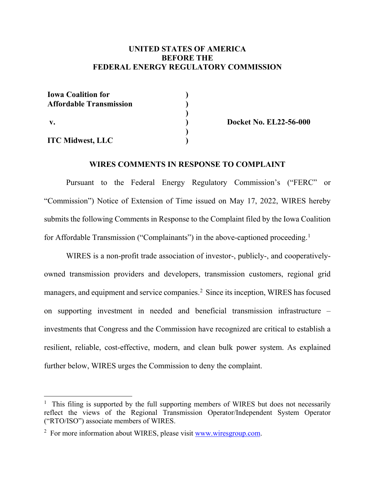### **UNITED STATES OF AMERICA BEFORE THE FEDERAL ENERGY REGULATORY COMMISSION**

| <b>Iowa Coalition for</b>      |  |
|--------------------------------|--|
| <b>Affordable Transmission</b> |  |
|                                |  |
| $\mathbf{v}$ .                 |  |
|                                |  |
| <b>ITC Midwest, LLC</b>        |  |

**Docket No. EL22-56-000**

#### **WIRES COMMENTS IN RESPONSE TO COMPLAINT**

Pursuant to the Federal Energy Regulatory Commission's ("FERC" or "Commission") Notice of Extension of Time issued on May 17, 2022, WIRES hereby submits the following Comments in Response to the Complaint filed by the Iowa Coalition for Affordable Transmission ("Complainants") in the above-captioned proceeding.<sup>[1](#page-0-0)</sup>

WIRES is a non-profit trade association of investor-, publicly-, and cooperativelyowned transmission providers and developers, transmission customers, regional grid managers, and equipment and service companies.<sup>[2](#page-0-1)</sup> Since its inception, WIRES has focused on supporting investment in needed and beneficial transmission infrastructure – investments that Congress and the Commission have recognized are critical to establish a resilient, reliable, cost-effective, modern, and clean bulk power system. As explained further below, WIRES urges the Commission to deny the complaint.

<span id="page-0-0"></span><sup>&</sup>lt;sup>1</sup> This filing is supported by the full supporting members of WIRES but does not necessarily reflect the views of the Regional Transmission Operator/Independent System Operator ("RTO/ISO") associate members of WIRES.

<span id="page-0-1"></span><sup>&</sup>lt;sup>2</sup> For more information about WIRES, please visit [www.wiresgroup.com.](http://www.wiresgroup.com/)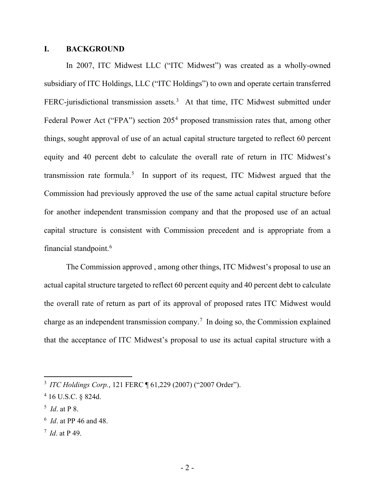### **I. BACKGROUND**

In 2007, ITC Midwest LLC ("ITC Midwest") was created as a wholly-owned subsidiary of ITC Holdings, LLC ("ITC Holdings") to own and operate certain transferred FERC-jurisdictional transmission assets.<sup>[3](#page-1-0)</sup> At that time, ITC Midwest submitted under Federal Power Act ("FPA") section 205<sup>[4](#page-1-1)</sup> proposed transmission rates that, among other things, sought approval of use of an actual capital structure targeted to reflect 60 percent equity and 40 percent debt to calculate the overall rate of return in ITC Midwest's transmission rate formula.<sup>[5](#page-1-2)</sup> In support of its request, ITC Midwest argued that the Commission had previously approved the use of the same actual capital structure before for another independent transmission company and that the proposed use of an actual capital structure is consistent with Commission precedent and is appropriate from a financial standpoint.[6](#page-1-3)

The Commission approved , among other things, ITC Midwest's proposal to use an actual capital structure targeted to reflect 60 percent equity and 40 percent debt to calculate the overall rate of return as part of its approval of proposed rates ITC Midwest would charge as an independent transmission company. [7](#page-1-4) In doing so, the Commission explained that the acceptance of ITC Midwest's proposal to use its actual capital structure with a

<span id="page-1-2"></span>5 *Id*. at P 8.

 $\overline{a}$ 

<span id="page-1-4"></span>7  *Id*. at P 49.

<span id="page-1-0"></span><sup>3</sup> *ITC Holdings Corp.*, 121 FERC ¶ 61,229 (2007) ("2007 Order").

<span id="page-1-1"></span><sup>4</sup> 16 U.S.C. § 824d.

<span id="page-1-3"></span><sup>6</sup> *Id*. at PP 46 and 48.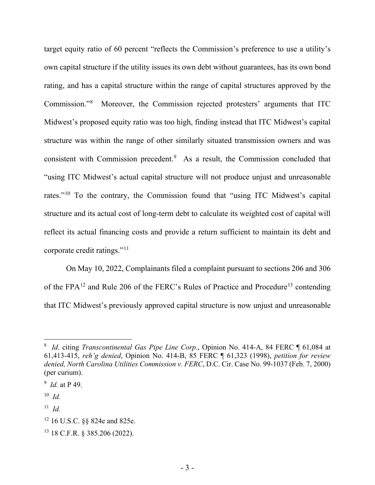target equity ratio of 60 percent "reflects the Commission's preference to use a utility's own capital structure if the utility issues its own debt without guarantees, has its own bond rating, and has a capital structure within the range of capital structures approved by the Commission."[8](#page-2-0) Moreover, the Commission rejected protesters' arguments that ITC Midwest's proposed equity ratio was too high, finding instead that ITC Midwest's capital structure was within the range of other similarly situated transmission owners and was consistent with Commission precedent.<sup>[9](#page-2-1)</sup> As a result, the Commission concluded that "using ITC Midwest's actual capital structure will not produce unjust and unreasonable rates."[10](#page-2-2) To the contrary, the Commission found that "using ITC Midwest's capital structure and its actual cost of long-term debt to calculate its weighted cost of capital will reflect its actual financing costs and provide a return sufficient to maintain its debt and corporate credit ratings."[11](#page-2-3)

On May 10, 2022, Complainants filed a complaint pursuant to sections 206 and 306 of the FPA<sup>[12](#page-2-4)</sup> and Rule 206 of the FERC's Rules of Practice and Procedure<sup>[13](#page-2-5)</sup> contending that ITC Midwest's previously approved capital structure is now unjust and unreasonable

<span id="page-2-0"></span><sup>8</sup> *Id*. citing *Transcontinental Gas Pipe Line Corp*., Opinion No. 414-A, 84 FERC ¶ 61,084 at 61,413-415, *reh'g denied*, Opinion No. 414-B, 85 FERC ¶ 61,323 (1998), *petition for review denied, North Carolina Utilities Commission v. FERC*, D.C. Cir. Case No. 99-1037 (Feb. 7, 2000) (per curium).

<span id="page-2-1"></span><sup>9</sup> *Id.* at P 49.

<span id="page-2-2"></span><sup>10</sup> *Id.*

<span id="page-2-3"></span> $11$  *Id.* 

<span id="page-2-4"></span><sup>12 16</sup> U.S.C. §§ 824e and 825e.

<span id="page-2-5"></span><sup>13 18</sup> C.F.R. § 385.206 (2022).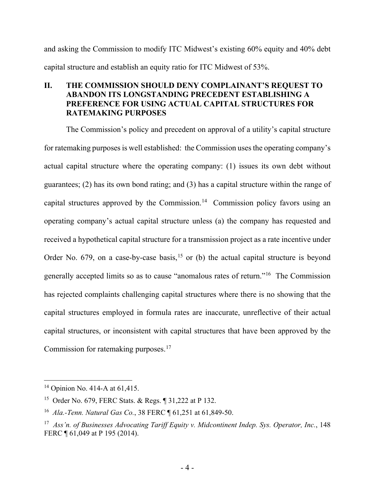and asking the Commission to modify ITC Midwest's existing 60% equity and 40% debt capital structure and establish an equity ratio for ITC Midwest of 53%.

## **II. THE COMMISSION SHOULD DENY COMPLAINANT'S REQUEST TO ABANDON ITS LONGSTANDING PRECEDENT ESTABLISHING A PREFERENCE FOR USING ACTUAL CAPITAL STRUCTURES FOR RATEMAKING PURPOSES**

The Commission's policy and precedent on approval of a utility's capital structure for ratemaking purposes is well established: the Commission uses the operating company's actual capital structure where the operating company: (1) issues its own debt without guarantees; (2) has its own bond rating; and (3) has a capital structure within the range of capital structures approved by the Commission.<sup>[14](#page-3-0)</sup> Commission policy favors using an operating company's actual capital structure unless (a) the company has requested and received a hypothetical capital structure for a transmission project as a rate incentive under Order No. 679, on a case-by-case basis,<sup>[15](#page-3-1)</sup> or (b) the actual capital structure is beyond generally accepted limits so as to cause "anomalous rates of return."[16](#page-3-2) The Commission has rejected complaints challenging capital structures where there is no showing that the capital structures employed in formula rates are inaccurate, unreflective of their actual capital structures, or inconsistent with capital structures that have been approved by the Commission for ratemaking purposes.<sup>[17](#page-3-3)</sup>

<span id="page-3-0"></span><sup>&</sup>lt;sup>14</sup> Opinion No. 414-A at 61,415.

<span id="page-3-1"></span><sup>15</sup> Order No. 679, FERC Stats. & Regs. ¶ 31,222 at P 132.

<span id="page-3-2"></span><sup>16</sup> *Ala.-Tenn. Natural Gas Co.*, 38 FERC ¶ 61,251 at 61,849-50.

<span id="page-3-3"></span><sup>17</sup> *Ass'n. of Businesses Advocating Tariff Equity v. Midcontinent Indep. Sys. Operator, Inc.*, 148 FERC ¶ 61,049 at P 195 (2014).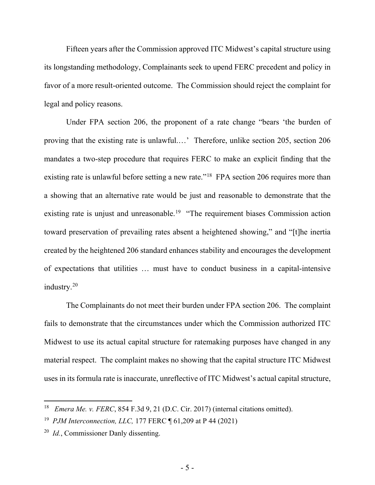Fifteen years after the Commission approved ITC Midwest's capital structure using its longstanding methodology, Complainants seek to upend FERC precedent and policy in favor of a more result-oriented outcome. The Commission should reject the complaint for legal and policy reasons.

Under FPA section 206, the proponent of a rate change "bears 'the burden of proving that the existing rate is unlawful.…' Therefore, unlike section 205, section 206 mandates a two-step procedure that requires FERC to make an explicit finding that the existing rate is unlawful before setting a new rate."<sup>[18](#page-4-0)</sup> FPA section 206 requires more than a showing that an alternative rate would be just and reasonable to demonstrate that the existing rate is unjust and unreasonable.<sup>[19](#page-4-1)</sup> "The requirement biases Commission action toward preservation of prevailing rates absent a heightened showing," and "[t]he inertia created by the heightened 206 standard enhances stability and encourages the development of expectations that utilities … must have to conduct business in a capital-intensive industry.[20](#page-4-2)

The Complainants do not meet their burden under FPA section 206. The complaint fails to demonstrate that the circumstances under which the Commission authorized ITC Midwest to use its actual capital structure for ratemaking purposes have changed in any material respect. The complaint makes no showing that the capital structure ITC Midwest uses in its formula rate is inaccurate, unreflective of ITC Midwest's actual capital structure,

<span id="page-4-0"></span><sup>18</sup> *Emera Me. v. FERC*, 854 F.3d 9, 21 (D.C. Cir. 2017) (internal citations omitted).

<span id="page-4-1"></span><sup>19</sup> *PJM Interconnection, LLC,* 177 FERC ¶ 61,209 at P 44 (2021)

<span id="page-4-2"></span><sup>20</sup> *Id.*, Commissioner Danly dissenting.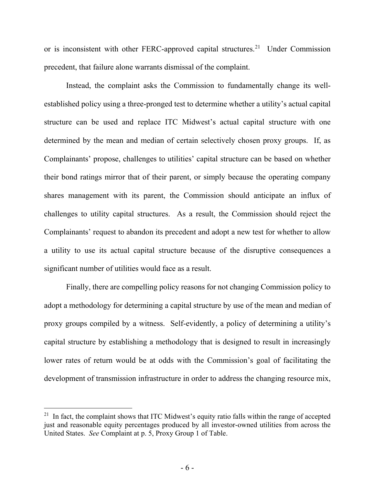or is inconsistent with other FERC-approved capital structures.<sup>[21](#page-5-0)</sup> Under Commission precedent, that failure alone warrants dismissal of the complaint.

Instead, the complaint asks the Commission to fundamentally change its wellestablished policy using a three-pronged test to determine whether a utility's actual capital structure can be used and replace ITC Midwest's actual capital structure with one determined by the mean and median of certain selectively chosen proxy groups. If, as Complainants' propose, challenges to utilities' capital structure can be based on whether their bond ratings mirror that of their parent, or simply because the operating company shares management with its parent, the Commission should anticipate an influx of challenges to utility capital structures. As a result, the Commission should reject the Complainants' request to abandon its precedent and adopt a new test for whether to allow a utility to use its actual capital structure because of the disruptive consequences a significant number of utilities would face as a result.

Finally, there are compelling policy reasons for not changing Commission policy to adopt a methodology for determining a capital structure by use of the mean and median of proxy groups compiled by a witness. Self-evidently, a policy of determining a utility's capital structure by establishing a methodology that is designed to result in increasingly lower rates of return would be at odds with the Commission's goal of facilitating the development of transmission infrastructure in order to address the changing resource mix,

<span id="page-5-0"></span> $21$  In fact, the complaint shows that ITC Midwest's equity ratio falls within the range of accepted just and reasonable equity percentages produced by all investor-owned utilities from across the United States. *See* Complaint at p. 5, Proxy Group 1 of Table.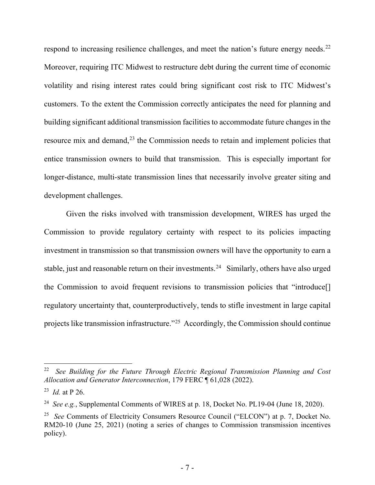respond to increasing resilience challenges, and meet the nation's future energy needs.<sup>[22](#page-6-0)</sup> Moreover, requiring ITC Midwest to restructure debt during the current time of economic volatility and rising interest rates could bring significant cost risk to ITC Midwest's customers. To the extent the Commission correctly anticipates the need for planning and building significant additional transmission facilities to accommodate future changes in the resource mix and demand,<sup>[23](#page-6-1)</sup> the Commission needs to retain and implement policies that entice transmission owners to build that transmission. This is especially important for longer-distance, multi-state transmission lines that necessarily involve greater siting and development challenges.

Given the risks involved with transmission development, WIRES has urged the Commission to provide regulatory certainty with respect to its policies impacting investment in transmission so that transmission owners will have the opportunity to earn a stable, just and reasonable return on their investments.<sup>[24](#page-6-2)</sup> Similarly, others have also urged the Commission to avoid frequent revisions to transmission policies that "introduce[] regulatory uncertainty that, counterproductively, tends to stifle investment in large capital projects like transmission infrastructure."[25](#page-6-3) Accordingly, the Commission should continue

<span id="page-6-0"></span><sup>22</sup> *See Building for the Future Through Electric Regional Transmission Planning and Cost Allocation and Generator Interconnection*, 179 FERC ¶ 61,028 (2022).

<span id="page-6-1"></span><sup>23</sup> *Id.* at P 26.

<span id="page-6-2"></span><sup>24</sup> *See e.g.*, Supplemental Comments of WIRES at p. 18, Docket No. PL19-04 (June 18, 2020).

<span id="page-6-3"></span><sup>25</sup> *See* Comments of Electricity Consumers Resource Council ("ELCON") at p. 7, Docket No. RM20-10 (June 25, 2021) (noting a series of changes to Commission transmission incentives policy).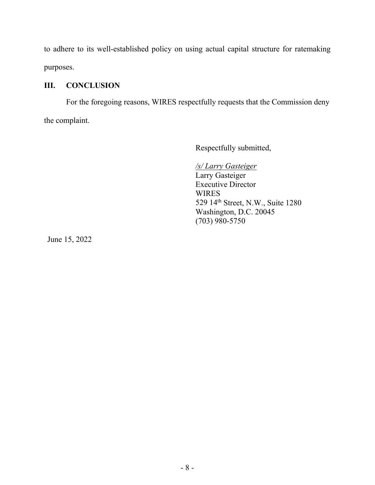to adhere to its well-established policy on using actual capital structure for ratemaking purposes.

# **III. CONCLUSION**

For the foregoing reasons, WIRES respectfully requests that the Commission deny the complaint.

Respectfully submitted,

*/s/ Larry Gasteiger* Larry Gasteiger Executive Director WIRES 529 14th Street, N.W., Suite 1280 Washington, D.C. 20045 (703) 980-5750

June 15, 2022